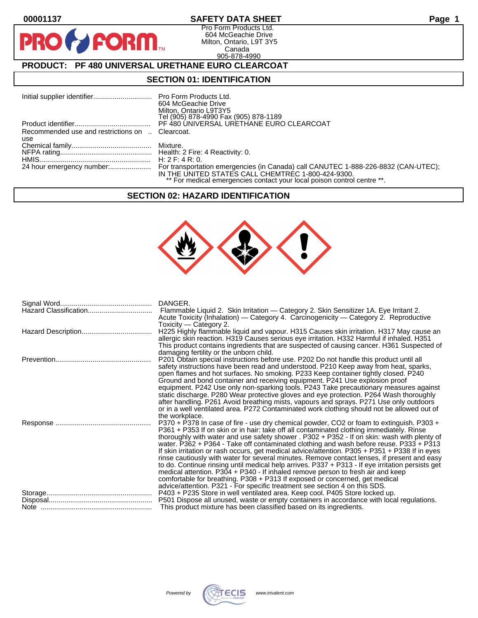$\bullet$ 

PF

# **00001137 SAFETY DATA SHEET Page 1**

Pro Form Products Ltd. 604 McGeachie Drive Milton, Ontario, L9T 3Y5 Canada 905-878-4990

# **PRODUCT: PF 480 UNIVERSAL URETHANE EURO CLEARCOAT**

**FORM** 

#### **SECTION 01: IDENTIFICATION**

|                                                 | 604 McGeachie Drive<br>Milton, Ontario L9T3Y5<br>Tel (905) 878-4990 Fax (905) 878-1189                                        |
|-------------------------------------------------|-------------------------------------------------------------------------------------------------------------------------------|
|                                                 | PF 480 UNIVERSAL URETHANE EURO CLEARCOAT                                                                                      |
| Recommended use and restrictions on  Clearcoat. |                                                                                                                               |
| use                                             |                                                                                                                               |
|                                                 |                                                                                                                               |
|                                                 |                                                                                                                               |
|                                                 |                                                                                                                               |
|                                                 | IN THE UNITED STATES CALL CHEMTREC 1-800-424-9300.<br>** For medical emergencies contact your local poison control centre **. |

# **SECTION 02: HAZARD IDENTIFICATION**



| DANGER.<br>Flammable Liquid 2. Skin Irritation - Category 2. Skin Sensitizer 1A. Eye Irritant 2.                                                                                                          |
|-----------------------------------------------------------------------------------------------------------------------------------------------------------------------------------------------------------|
| Acute Toxicity (Inhalation) — Category 4. Carcinogenicity — Category 2. Reproductive<br>Toxicity — Category 2.<br>H225 Highly flammable liquid and vapour. H315 Causes skin irritation. H317 May cause an |
| allergic skin reaction. H319 Causes serious eye irritation. H332 Harmful if inhaled. H351<br>This product contains ingredients that are suspected of causing cancer. H361 Suspected of                    |
| damaging fertility or the unborn child.<br>P201 Obtain special instructions before use. P202 Do not handle this product until all                                                                         |
| safety instructions have been read and understood. P210 Keep away from heat, sparks,<br>open flames and hot surfaces. No smoking. P233 Keep container tightly closed. P240                                |
| Ground and bond container and receiving equipment. P241 Use explosion proof<br>equipment. P242 Use only non-sparking tools. P243 Take precautionary measures against                                      |
| static discharge. P280 Wear protective gloves and eye protection. P264 Wash thoroughly                                                                                                                    |
| after handling. P261 Avoid breathing mists, vapours and sprays. P271 Use only outdoors<br>or in a well ventilated area. P272 Contaminated work clothing should not be allowed out of                      |
| the workplace.                                                                                                                                                                                            |
| P370 + P378 In case of fire - use dry chemical powder, CO2 or foam to extinguish. P303 +<br>P361 + P353 If on skin or in hair: take off all contaminated clothing immediately. Rinse                      |
| thoroughly with water and use safety shower . P302 + P352 - If on skin: wash with plenty of                                                                                                               |
| water. P362 + P364 - Take off contaminated clothing and wash before reuse. P333 + P313                                                                                                                    |
| If skin irritation or rash occurs, get medical advice/attention. P305 + P351 + P338 If in eyes<br>rinse cautiously with water for several minutes. Remove contact lenses, if present and easy             |
| to do. Continue rinsing until medical help arrives. P337 + P313 - If eye irritation persists get                                                                                                          |
| medical attention. P304 + P340 - If inhaled remove person to fresh air and keep<br>comfortable for breathing. P308 + P313 If exposed or concerned, get medical                                            |
| advice/attention. P321 - For specific treatment see section 4 on this SDS.                                                                                                                                |
| P403 + P235 Store in well ventilated area. Keep cool. P405 Store locked up.<br>P501 Dispose all unused, waste or empty containers in accordance with local regulations.                                   |
| This product mixture has been classified based on its ingredients.                                                                                                                                        |

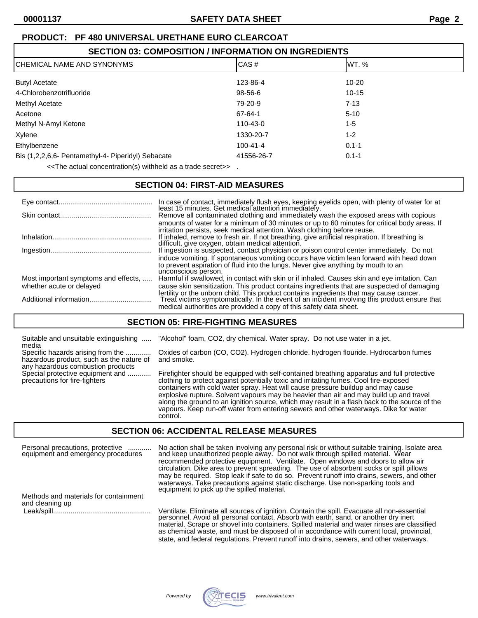| <b>SECTION 03: COMPOSITION / INFORMATION ON INGREDIENTS</b>          |                |           |  |
|----------------------------------------------------------------------|----------------|-----------|--|
| CHEMICAL NAME AND SYNONYMS                                           | CAS#           | IWT. %    |  |
| <b>Butyl Acetate</b>                                                 | 123-86-4       | $10 - 20$ |  |
| 4-Chlorobenzotrifluoride                                             | 98-56-6        | $10 - 15$ |  |
| Methyl Acetate                                                       | 79-20-9        | $7 - 13$  |  |
| Acetone                                                              | 67-64-1        | $5 - 10$  |  |
| Methyl N-Amyl Ketone                                                 | 110-43-0       | $1 - 5$   |  |
| Xylene                                                               | 1330-20-7      | $1 - 2$   |  |
| Ethylbenzene                                                         | $100 - 41 - 4$ | $0.1 - 1$ |  |
| Bis (1,2,2,6,6- Pentamethyl-4- Piperidyl) Sebacate                   | 41556-26-7     | $0.1 - 1$ |  |
| . The contract concentration (c) with both concentration of $\alpha$ |                |           |  |

 $\le$ I he actual concentration(s) withheld as a trade secret>>.

#### **SECTION 04: FIRST-AID MEASURES**

|                                      | In case of contact, immediately flush eyes, keeping eyelids open, with plenty of water for at least 15 minutes. Get medical attention immediately.                                                                                                             |
|--------------------------------------|----------------------------------------------------------------------------------------------------------------------------------------------------------------------------------------------------------------------------------------------------------------|
|                                      | Remove all contaminated clothing and immediately wash the exposed areas with copious                                                                                                                                                                           |
|                                      | amounts of water for a minimum of 30 minutes or up to 60 minutes for critical body areas. If<br>irritation persists, seek medical attention. Wash clothing before reuse.                                                                                       |
|                                      | If inhaled, remove to fresh air. If not breathing, give artificial respiration. If breathing is<br>difficult, give oxygen, obtain medical attention.                                                                                                           |
|                                      | If ingestion is suspected, contact physician or poison control center immediately. Do not                                                                                                                                                                      |
|                                      | induce vomiting. If spontaneous vomiting occurs have victim lean forward with head down<br>to prevent aspiration of fluid into the lungs. Never give anything by mouth to an<br>unconscious person.                                                            |
| Most important symptoms and effects, | Harmful if swallowed, in contact with skin or if inhaled. Causes skin and eye irritation. Can                                                                                                                                                                  |
| whether acute or delayed             | cause skin sensitization. This product contains ingredients that are suspected of damaging                                                                                                                                                                     |
|                                      | fertility or the unborn child. This product contains ingredients that may cause cancer.<br>Treat victims symptomatically. In the event of an incident involving this product ensure that<br>medical authorities are provided a copy of this safety data sheet. |

#### **SECTION 05: FIRE-FIGHTING MEASURES**

| Suitable and unsuitable extinguishing  "Alcohol" foam, CO2, dry chemical. Water spray. Do not use water in a jet. |  |  |  |  |
|-------------------------------------------------------------------------------------------------------------------|--|--|--|--|
| media                                                                                                             |  |  |  |  |
| $\sim$ $\sim$ $\sim$                                                                                              |  |  |  |  |

hazardous product, such as the nature of and smoke. any hazardous combustion products

Specific hazards arising from the ............. Oxides of carbon (CO, CO2). Hydrogen chloride. hydrogen flouride. Hydrocarbon fumes

Special protective equipment and ............ Firefighter should be equipped with self-contained breathing apparatus and full protective<br>precautions for fire-fighters continue of conting to protect against potentially toxi clothing to protect against potentially toxic and irritating fumes. Cool fire-exposed containers with cold water spray. Heat will cause pressure buildup and may cause explosive rupture. Solvent vapours may be heavier than air and may build up and travel along the ground to an ignition source, which may result in a flash back to the source of the vapours. Keep run-off water from entering sewers and other waterways. Dike for water control.

#### **SECTION 06: ACCIDENTAL RELEASE MEASURES**

Personal precautions, protective ............ No action shall be taken involving any personal risk or without suitable training. Isolate area equipment and emergency procedures and keep unauthorized people away. Do not walk through spilled material. Wear recommended protective equipment. Ventilate. Open windows and doors to allow air circulation. Dike area to prevent spreading. The use of absorbent socks or spill pillows may be required. Stop leak if safe to do so. Prevent runoff into drains, sewers, and other waterways. Take precautions against static discharge. Use non-sparking tools and equipment to pick up the spilled material. Methods and materials for containment and cleaning up Leak/spill.................................................. Ventilate. Eliminate all sources of ignition. Contain the spill. Evacuate all non-essential

personnel. Avoid all personal contact. Absorb with earth, sand, or another dry inert material. Scrape or shovel into containers. Spilled material and water rinses are classified as chemical waste, and must be disposed of in accordance with current local, provincial, state, and federal regulations. Prevent runoff into drains, sewers, and other waterways.

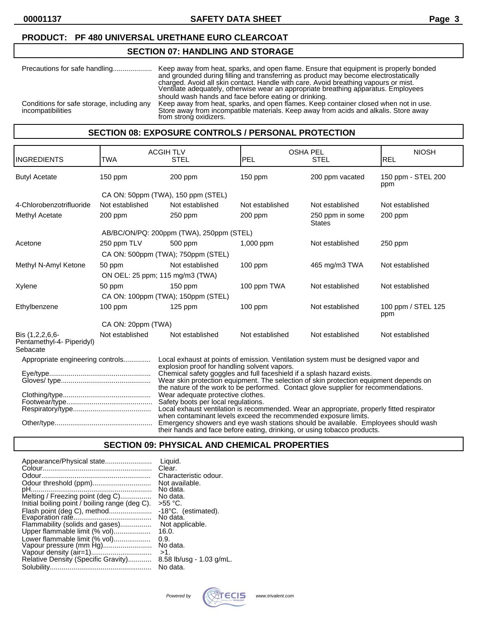# **SECTION 07: HANDLING AND STORAGE**

| Precautions for safe handling                                   | Keep away from heat, sparks, and open flame. Ensure that equipment is properly bonded<br>and grounded during filling and transferring as product may become electrostatically<br>charged. Avoid all skin contact. Handle with care. Avoid breathing vapours or mist.<br>Ventilate adequately, otherwise wear an appropriate breathing apparatus. Employees |
|-----------------------------------------------------------------|------------------------------------------------------------------------------------------------------------------------------------------------------------------------------------------------------------------------------------------------------------------------------------------------------------------------------------------------------------|
| Conditions for safe storage, including any<br>incompatibilities | should wash hands and face before eating or drinking.<br>Keep away from heat, sparks, and open flames. Keep container closed when not in use.<br>Store away from incompatible materials. Keep away from acids and alkalis. Store away<br>from strong oxidizers.                                                                                            |

# **SECTION 08: EXPOSURE CONTROLS / PERSONAL PROTECTION**

|                                                                                                                                                                                                                                   | <b>ACGIHTLV</b>                                                                                                                                                                                                                                                                                        |                                                                                                                                                                       | <b>OSHA PEL</b> |                                  | <b>NIOSH</b>              |
|-----------------------------------------------------------------------------------------------------------------------------------------------------------------------------------------------------------------------------------|--------------------------------------------------------------------------------------------------------------------------------------------------------------------------------------------------------------------------------------------------------------------------------------------------------|-----------------------------------------------------------------------------------------------------------------------------------------------------------------------|-----------------|----------------------------------|---------------------------|
| INGREDIENTS                                                                                                                                                                                                                       | <b>TWA</b>                                                                                                                                                                                                                                                                                             | <b>STEL</b>                                                                                                                                                           | PEL             | <b>STEL</b>                      | <b>REL</b>                |
| <b>Butyl Acetate</b>                                                                                                                                                                                                              | 150 ppm                                                                                                                                                                                                                                                                                                | 200 ppm                                                                                                                                                               | 150 ppm         | 200 ppm vacated                  | 150 ppm - STEL 200<br>ppm |
|                                                                                                                                                                                                                                   |                                                                                                                                                                                                                                                                                                        | CA ON: 50ppm (TWA), 150 ppm (STEL)                                                                                                                                    |                 |                                  |                           |
| 4-Chlorobenzotrifluoride                                                                                                                                                                                                          | Not established                                                                                                                                                                                                                                                                                        | Not established                                                                                                                                                       | Not established | Not established                  | Not established           |
| Methyl Acetate                                                                                                                                                                                                                    | $200$ ppm                                                                                                                                                                                                                                                                                              | $250$ ppm                                                                                                                                                             | 200 ppm         | 250 ppm in some<br><b>States</b> | 200 ppm                   |
|                                                                                                                                                                                                                                   |                                                                                                                                                                                                                                                                                                        | AB/BC/ON/PQ: 200ppm (TWA), 250ppm (STEL)                                                                                                                              |                 |                                  |                           |
| Acetone                                                                                                                                                                                                                           | 250 ppm TLV                                                                                                                                                                                                                                                                                            | 500 ppm                                                                                                                                                               | 1,000 ppm       | Not established                  | $250$ ppm                 |
|                                                                                                                                                                                                                                   |                                                                                                                                                                                                                                                                                                        | CA ON: 500ppm (TWA); 750ppm (STEL)                                                                                                                                    |                 |                                  |                           |
| Methyl N-Amyl Ketone                                                                                                                                                                                                              | 50 ppm                                                                                                                                                                                                                                                                                                 | Not established                                                                                                                                                       | $100$ ppm       | 465 mg/m3 TWA                    | Not established           |
|                                                                                                                                                                                                                                   | ON OEL: 25 ppm; 115 mg/m3 (TWA)                                                                                                                                                                                                                                                                        |                                                                                                                                                                       |                 |                                  |                           |
| Xylene                                                                                                                                                                                                                            | 50 ppm                                                                                                                                                                                                                                                                                                 | 150 ppm                                                                                                                                                               | 100 ppm TWA     | Not established                  | Not established           |
|                                                                                                                                                                                                                                   |                                                                                                                                                                                                                                                                                                        | CA ON: 100ppm (TWA); 150ppm (STEL)                                                                                                                                    |                 |                                  |                           |
| Ethylbenzene                                                                                                                                                                                                                      | $100$ ppm                                                                                                                                                                                                                                                                                              | $125$ ppm                                                                                                                                                             | $100$ ppm       | Not established                  | 100 ppm / STEL 125<br>ppm |
|                                                                                                                                                                                                                                   | CA ON: 20ppm (TWA)                                                                                                                                                                                                                                                                                     |                                                                                                                                                                       |                 |                                  |                           |
| Bis (1,2,2,6,6-<br>Pentamethyl-4- Piperidyl)<br>Sebacate                                                                                                                                                                          | Not established                                                                                                                                                                                                                                                                                        | Not established                                                                                                                                                       | Not established | Not established                  | Not established           |
| Appropriate engineering controls                                                                                                                                                                                                  |                                                                                                                                                                                                                                                                                                        | Local exhaust at points of emission. Ventilation system must be designed vapor and                                                                                    |                 |                                  |                           |
|                                                                                                                                                                                                                                   | explosion proof for handling solvent vapors.<br>Chemical safety goggles and full faceshield if a splash hazard exists.<br>Wear skin protection equipment. The selection of skin protection equipment depends on<br>the nature of the work to be performed. Contact glove supplier for recommendations. |                                                                                                                                                                       |                 |                                  |                           |
|                                                                                                                                                                                                                                   |                                                                                                                                                                                                                                                                                                        | Wear adequate protective clothes.<br>Safety boots per local regulations.<br>Local exhaust ventilation is recommended. Wear an appropriate, properly fitted respirator |                 |                                  |                           |
| when contaminant levels exceed the recommended exposure limits.<br>Emergency showers and eye wash stations should be available. Employees should wash<br>their hands and face before eating, drinking, or using tobacco products. |                                                                                                                                                                                                                                                                                                        |                                                                                                                                                                       |                 |                                  |                           |

#### **SECTION 09: PHYSICAL AND CHEMICAL PROPERTIES**

| Appearance/Physical state<br>Odour threshold (ppm)<br>pH.<br><br>Melting / Freezing point (deg C)<br>Initial boiling point / boiling range (deg C).<br>Flash point (deg C), method<br>Flammability (solids and gases)<br>Upper flammable limit (% vol)<br>Lower flammable limit (% vol)<br>0.9.<br>Vapour pressure (mm Hg)<br>Relative Density (Specific Gravity) | Liquid.<br>Clear.<br>Characteristic odour.<br>Not available.<br>No data.<br>No data.<br>$>55$ °C.<br>-18°C. (estimated).<br>No data.<br>Not applicable.<br>16.0.<br>No data.<br>$>1$ .<br>8.58 lb/usg - 1.03 g/mL.<br>No data. |
|-------------------------------------------------------------------------------------------------------------------------------------------------------------------------------------------------------------------------------------------------------------------------------------------------------------------------------------------------------------------|--------------------------------------------------------------------------------------------------------------------------------------------------------------------------------------------------------------------------------|
|-------------------------------------------------------------------------------------------------------------------------------------------------------------------------------------------------------------------------------------------------------------------------------------------------------------------------------------------------------------------|--------------------------------------------------------------------------------------------------------------------------------------------------------------------------------------------------------------------------------|

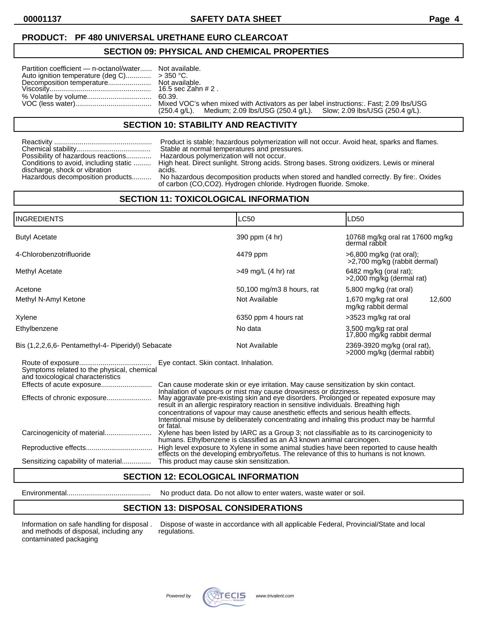# **SECTION 09: PHYSICAL AND CHEMICAL PROPERTIES**

| Partition coefficient - n-octanol/water | $\sim$ 10 |
|-----------------------------------------|-----------|
| Auto ignition temperature (deg C)       |           |
|                                         |           |
|                                         |           |
|                                         |           |

Not available.  $> 350 °C$ . Not available.  $16.5 \text{ sec } Z$ ahn  $\# 2$  . 60.39. Mixed VOC's when mixed with Activators as per label instructions:. Fast; 2.09 lbs/USG (250.4 g/L).<br>(250.4 g/L). Medium; 2.09 lbs/USG (250.4 g/L). Slow; 2.09 lbs/USG (250.4 g/L). Medium; 2.09 lbs/USG (250.4 g/L).

# **SECTION 10: STABILITY AND REACTIVITY**

Possibility of hazardous reactions............. Hazardous polymerization will not occur. discharge, shock or vibration **acids**.

Reactivity .................................................. Product is stable; hazardous polymerization will not occur. Avoid heat, sparks and flames. Stable at normal temperatures and pressures.

High heat. Direct sunlight. Strong acids. Strong bases. Strong oxidizers. Lewis or mineral

Hazardous decomposition products........... No hazardous decomposition products when stored and handled correctly. By fire:. Oxides of carbon (CO,CO2). Hydrogen chloride. Hydrogen fluoride. Smoke.

# **SECTION 11: TOXICOLOGICAL INFORMATION**

| <b>INGREDIENTS</b>                                                                                           |                                                                                                                                                                    | <b>LC50</b>                                                                                                                                                                                                                                                                                                                                                                                                                                                                                                               | LD <sub>50</sub>                                           |  |
|--------------------------------------------------------------------------------------------------------------|--------------------------------------------------------------------------------------------------------------------------------------------------------------------|---------------------------------------------------------------------------------------------------------------------------------------------------------------------------------------------------------------------------------------------------------------------------------------------------------------------------------------------------------------------------------------------------------------------------------------------------------------------------------------------------------------------------|------------------------------------------------------------|--|
| <b>Butyl Acetate</b>                                                                                         |                                                                                                                                                                    | 390 ppm (4 hr)                                                                                                                                                                                                                                                                                                                                                                                                                                                                                                            | 10768 mg/kg oral rat 17600 mg/kg<br>dermal rabbit          |  |
| 4-Chlorobenzotrifluoride                                                                                     |                                                                                                                                                                    | 4479 ppm                                                                                                                                                                                                                                                                                                                                                                                                                                                                                                                  | $>6,800$ mg/kg (rat oral);<br>>2,700 mg/kg (rabbit dermal) |  |
| Methyl Acetate                                                                                               |                                                                                                                                                                    | $>49$ mg/L (4 hr) rat                                                                                                                                                                                                                                                                                                                                                                                                                                                                                                     | $6482$ mg/kg (oral rat);<br>>2,000 mg/kg (dermal rat)      |  |
| Acetone                                                                                                      |                                                                                                                                                                    | 50,100 mg/m3 8 hours, rat                                                                                                                                                                                                                                                                                                                                                                                                                                                                                                 | 5,800 mg/kg (rat oral)                                     |  |
| Methyl N-Amyl Ketone                                                                                         |                                                                                                                                                                    | Not Available                                                                                                                                                                                                                                                                                                                                                                                                                                                                                                             | 12,600<br>1,670 mg/kg rat oral<br>mg/kg rabbit dermal      |  |
| Xylene                                                                                                       |                                                                                                                                                                    | 6350 ppm 4 hours rat                                                                                                                                                                                                                                                                                                                                                                                                                                                                                                      | >3523 mg/kg rat oral                                       |  |
| Ethylbenzene                                                                                                 |                                                                                                                                                                    | No data                                                                                                                                                                                                                                                                                                                                                                                                                                                                                                                   | 3,500 mg/kg rat oral<br>17,800 mg/kg rabbit dermal         |  |
| Bis (1,2,2,6,6- Pentamethyl-4- Piperidyl) Sebacate                                                           |                                                                                                                                                                    | Not Available                                                                                                                                                                                                                                                                                                                                                                                                                                                                                                             | 2369-3920 mg/kg (oral rat),<br>>2000 mg/kg (dermal rabbit) |  |
| Symptoms related to the physical, chemical<br>and toxicological characteristics<br>Effects of acute exposure | Eye contact. Skin contact. Inhalation.<br>or fatal.                                                                                                                | Can cause moderate skin or eye irritation. May cause sensitization by skin contact.<br>Inhalation of vapours or mist may cause drowsiness or dizziness.<br>May aggravate pre-existing skin and eye disorders. Prolonged or repeated exposure may<br>result in an allergic respiratory reaction in sensitive individuals. Breathing high<br>concentrations of vapour may cause anesthetic effects and serious health effects.<br>Intentional misuse by deliberately concentrating and inhaling this product may be harmful |                                                            |  |
|                                                                                                              | Xylene has been listed by IARC as a Group 3; not classifiable as to its carcinogenicity to<br>humans. Ethylbenzene is classified as an A3 known animal carcinogen. |                                                                                                                                                                                                                                                                                                                                                                                                                                                                                                                           |                                                            |  |
|                                                                                                              |                                                                                                                                                                    | High level exposure to Xylene in some animal studies have been reported to cause health<br>effects on the developing embryo/fetus. The relevance of this to humans is not known.                                                                                                                                                                                                                                                                                                                                          |                                                            |  |
| Sensitizing capability of material                                                                           | This product may cause skin sensitization.                                                                                                                         |                                                                                                                                                                                                                                                                                                                                                                                                                                                                                                                           |                                                            |  |

# **SECTION 12: ECOLOGICAL INFORMATION**

Environmental........................................... No product data. Do not allow to enter waters, waste water or soil.

# **SECTION 13: DISPOSAL CONSIDERATIONS**

and methods of disposal, including any contaminated packaging

Information on safe handling for disposal . Dispose of waste in accordance with all applicable Federal, Provincial/State and local and methods of disposal, including any regulations.